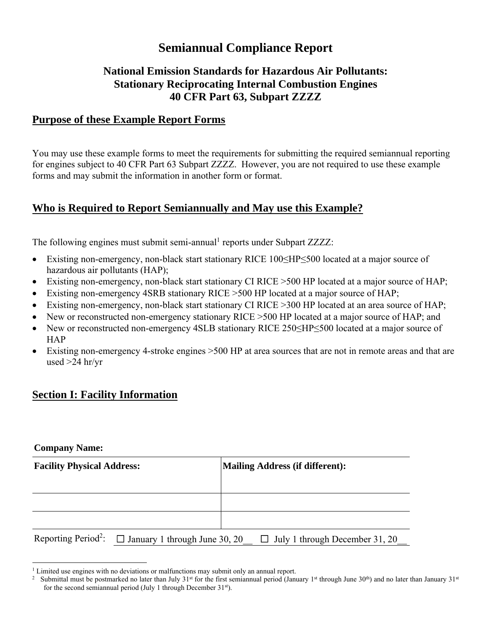# **Semiannual Compliance Report**

# **National Emission Standards for Hazardous Air Pollutants: Stationary Reciprocating Internal Combustion Engines 40 CFR Part 63, Subpart ZZZZ**

## **Purpose of these Example Report Forms**

You may use these example forms to meet the requirements for submitting the required semiannual reporting for engines subject to 40 CFR Part 63 Subpart ZZZZ. However, you are not required to use these example forms and may submit the information in another form or format.

# **Who is Required to Report Semiannually and May use this Example?**

The following engines must submit semi-annual<sup>1</sup> reports under Subpart ZZZZ:

- Existing non-emergency, non-black start stationary RICE 100≤HP≤500 located at a major source of hazardous air pollutants (HAP);
- Existing non-emergency, non-black start stationary CI RICE >500 HP located at a major source of HAP;
- Existing non-emergency 4SRB stationary RICE >500 HP located at a major source of HAP;
- Existing non-emergency, non-black start stationary CI RICE >300 HP located at an area source of HAP;
- New or reconstructed non-emergency stationary RICE > 500 HP located at a major source of HAP; and
- New or reconstructed non-emergency 4SLB stationary RICE 250≤HP≤500 located at a major source of **HAP**
- Existing non-emergency 4-stroke engines >500 HP at area sources that are not in remote areas and that are used >24 hr/yr

## **Section I: Facility Information**

## **Company Name:**

| <b>Facility Physical Address:</b>                                    | Mailing Address (if different):       |
|----------------------------------------------------------------------|---------------------------------------|
|                                                                      |                                       |
|                                                                      |                                       |
|                                                                      |                                       |
| Reporting Period <sup>2</sup> : $\Box$ January 1 through June 30, 20 | $\Box$ July 1 through December 31, 20 |

 $\overline{a}$ 

<sup>&</sup>lt;sup>1</sup> Limited use engines with no deviations or malfunctions may submit only an annual report.<br><sup>2</sup> Submittal must be postmarked no later than July 31<sup>st</sup> for the first semiannual period (January 1<sup>st</sup> through June 30<sup>th</sup>) a for the second semiannual period (July 1 through December 31st).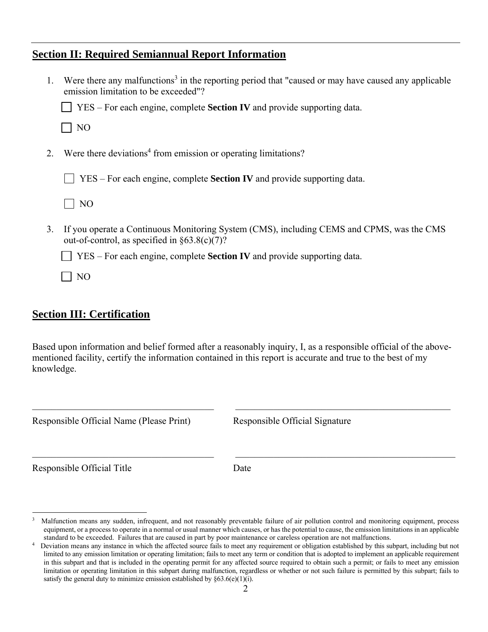# **Section II: Required Semiannual Report Information**

| $1_{-}$ | Were there any malfunctions <sup>3</sup> in the reporting period that "caused or may have caused any applicable"<br>emission limitation to be exceeded"? |
|---------|----------------------------------------------------------------------------------------------------------------------------------------------------------|
|         | YES – For each engine, complete <b>Section IV</b> and provide supporting data.                                                                           |
|         | N <sub>O</sub>                                                                                                                                           |
| 2.      | Were there deviations <sup>4</sup> from emission or operating limitations?                                                                               |
|         | YES – For each engine, complete <b>Section IV</b> and provide supporting data.                                                                           |
|         | NO                                                                                                                                                       |
| 3.      | If you operate a Continuous Monitoring System (CMS), including CEMS and CPMS, was the CMS<br>out-of-control, as specified in $§63.8(c)(7)?$              |
|         | YES – For each engine, complete <b>Section IV</b> and provide supporting data.                                                                           |

 $\Box$  NO

# **Section III: Certification**

Based upon information and belief formed after a reasonably inquiry, I, as a responsible official of the abovementioned facility, certify the information contained in this report is accurate and true to the best of my knowledge.

 $\_$  , and the contribution of the contribution of  $\_$  . The contribution of the contribution of  $\mathcal{L}_\mathcal{A}$ 

Responsible Official Name (Please Print) Responsible Official Signature

Responsible Official Title Date

 $\overline{a}$ 

 $\_$  , and the contribution of the contribution of  $\overline{a}$  , and  $\overline{b}$  , and  $\overline{b}$  , and  $\overline{b}$  , and  $\overline{b}$  , and  $\overline{b}$  , and  $\overline{b}$  , and  $\overline{b}$  , and  $\overline{b}$  , and  $\overline{b}$  , and  $\overline{b}$  , and  $\overline{b$ 

<sup>3</sup> Malfunction means any sudden, infrequent, and not reasonably preventable failure of air pollution control and monitoring equipment, process equipment, or a process to operate in a normal or usual manner which causes, or has the potential to cause, the emission limitations in an applicable standard to be exceeded. Failures that are caused in part by poor maintenance or careless operation are not malfunctions.<br>4 Deviation means any instance in which the affected source fails to meet any requirement or obligat

limited to any emission limitation or operating limitation; fails to meet any term or condition that is adopted to implement an applicable requirement in this subpart and that is included in the operating permit for any affected source required to obtain such a permit; or fails to meet any emission limitation or operating limitation in this subpart during malfunction, regardless or whether or not such failure is permitted by this subpart; fails to satisfy the general duty to minimize emission established by  $§63.6(e)(1)(i)$ .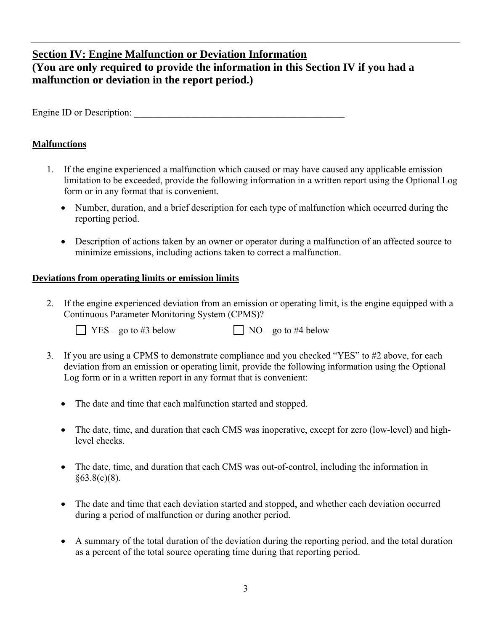# **Section IV: Engine Malfunction or Deviation Information (You are only required to provide the information in this Section IV if you had a malfunction or deviation in the report period.)**

Engine ID or Description:

## **Malfunctions**

- 1. If the engine experienced a malfunction which caused or may have caused any applicable emission limitation to be exceeded, provide the following information in a written report using the Optional Log form or in any format that is convenient.
	- Number, duration, and a brief description for each type of malfunction which occurred during the reporting period.
	- Description of actions taken by an owner or operator during a malfunction of an affected source to minimize emissions, including actions taken to correct a malfunction.

## **Deviations from operating limits or emission limits**

2. If the engine experienced deviation from an emission or operating limit, is the engine equipped with a Continuous Parameter Monitoring System (CPMS)?

 $\Box$  YES – go to #3 below  $\Box$  NO – go to #4 below

- 3. If you are using a CPMS to demonstrate compliance and you checked "YES" to #2 above, for each deviation from an emission or operating limit, provide the following information using the Optional Log form or in a written report in any format that is convenient:
	- The date and time that each malfunction started and stopped.
	- The date, time, and duration that each CMS was inoperative, except for zero (low-level) and highlevel checks.
	- The date, time, and duration that each CMS was out-of-control, including the information in  $§63.8(c)(8)$ .
	- The date and time that each deviation started and stopped, and whether each deviation occurred during a period of malfunction or during another period.
	- A summary of the total duration of the deviation during the reporting period, and the total duration as a percent of the total source operating time during that reporting period.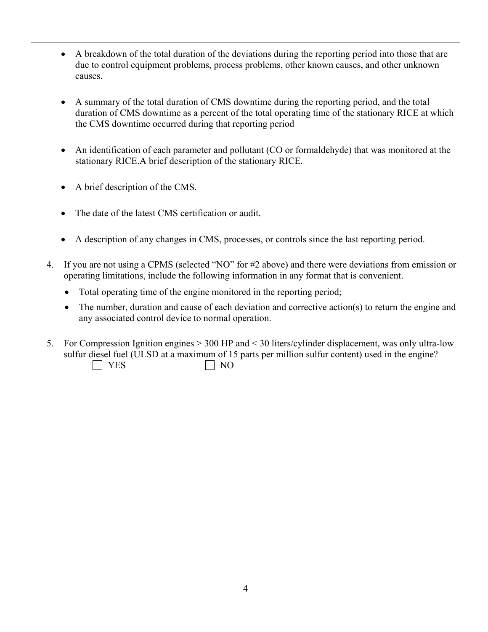- A breakdown of the total duration of the deviations during the reporting period into those that are due to control equipment problems, process problems, other known causes, and other unknown causes.
- A summary of the total duration of CMS downtime during the reporting period, and the total duration of CMS downtime as a percent of the total operating time of the stationary RICE at which the CMS downtime occurred during that reporting period
- An identification of each parameter and pollutant (CO or formaldehyde) that was monitored at the stationary RICE.A brief description of the stationary RICE.
- A brief description of the CMS.
- The date of the latest CMS certification or audit.
- A description of any changes in CMS, processes, or controls since the last reporting period.
- 4. If you are not using a CPMS (selected "NO" for #2 above) and there were deviations from emission or operating limitations, include the following information in any format that is convenient.
	- Total operating time of the engine monitored in the reporting period;
	- The number, duration and cause of each deviation and corrective action(s) to return the engine and any associated control device to normal operation.
- 5. For Compression Ignition engines > 300 HP and < 30 liters/cylinder displacement, was only ultra-low sulfur diesel fuel (ULSD at a maximum of 15 parts per million sulfur content) used in the engine?  $\Box$  YES  $\Box$  NO